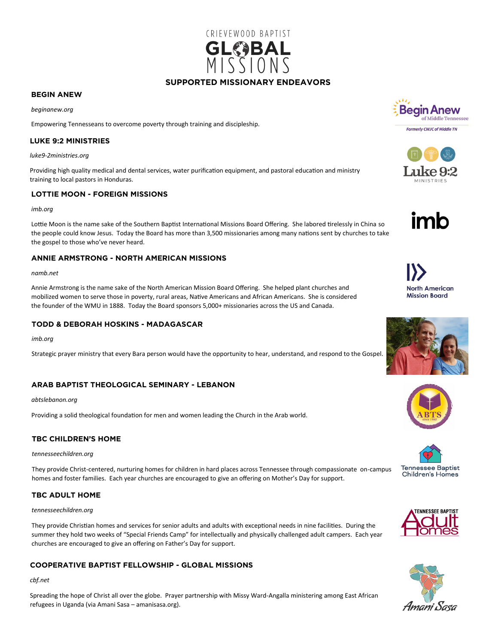

#### **SUPPORTED MISSIONARY ENDEAVORS SUPPORTED MISSIONARY ENDEAVORS**

## **BEGIN ANEW**

*beginanew.org*

Empowering Tennesseans to overcome poverty through training and discipleship.

#### **LUKE 9:2 MINISTRIES LUKE 9:2 MINISTRIES**

*luke9-2ministries.org*

Providing high quality medical and dental services, water purification equipment, and pastoral education and ministry training to local pastors in Honduras.

#### **LOTTIE MOON - FOREIGN MISSIONS LOTTIE MOON - FOREIGN MISSIONS**

#### *imb.org*

Lottie Moon is the name sake of the Southern Baptist International Missions Board Offering. She labored tirelessly in China so the people could know Jesus. Today the Board has more than 3,500 missionaries among many nations sent by churches to take the gospel to those who've never heard.

#### **ANNIE ARMSTRONG - NORTH AMERICAN MISSIONS ANNIE ARMSTRONG - NORTH AMERICAN MISSIONS**

#### *namb.net*

Annie Armstrong is the name sake of the North American Mission Board Offering. She helped plant churches and mobilized women to serve those in poverty, rural areas, Native Americans and African Americans. She is considered the founder of the WMU in 1888. Today the Board sponsors 5,000+ missionaries across the US and Canada.

## **TODD & DEBORAH HOSKINS - MADAGASCAR**

*imb.org*

Strategic prayer ministry that every Bara person would have the opportunity to hear, understand, and respond to the Gospel.

#### **ARAB BAPTIST THEOLOGICAL SEMINARY - LEBANON ARAB BAPTIST THEOLOGICAL SEMINARY - LEBANON**

*abtslebanon.org*

Providing a solid theological foundation for men and women leading the Church in the Arab world.

#### **TBC CHILDREN'S HOME TBC CHILDREN'S HOME**

*tennesseechildren.org*

They provide Christ-centered, nurturing homes for children in hard places across Tennessee through compassionate on-campus homes and foster families. Each year churches are encouraged to give an offering on Mother's Day for support.

#### **TBC ADULT HOME TBC ADULT HOME**

#### *tennesseechildren.org*

They provide Christian homes and services for senior adults and adults with exceptional needs in nine facilities. During the summer they hold two weeks of "Special Friends Camp" for intellectually and physically challenged adult campers. Each year churches are encouraged to give an offering on Father's Day for support.

#### **COOPERATIVE BAPTIST FELLOWSHIP - GLOBAL MISSIONS COOPERATIVE BAPTIST FELLOWSHIP - GLOBAL MISSIONS**

#### *cbf.net*

Spreading the hope of Christ all over the globe. Prayer partnership with Missy Ward-Angalla ministering among East African refugees in Uganda (via Amani Sasa – amanisasa.org).







**North American Mission Board**